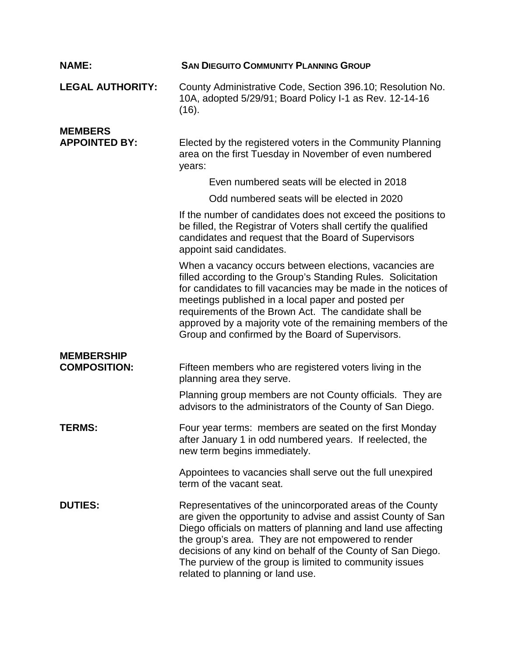| <b>NAME:</b>                             | <b>SAN DIEGUITO COMMUNITY PLANNING GROUP</b>                                                                                                                                                                                                                                                                                                                                                                               |
|------------------------------------------|----------------------------------------------------------------------------------------------------------------------------------------------------------------------------------------------------------------------------------------------------------------------------------------------------------------------------------------------------------------------------------------------------------------------------|
| <b>LEGAL AUTHORITY:</b>                  | County Administrative Code, Section 396.10; Resolution No.<br>10A, adopted 5/29/91; Board Policy I-1 as Rev. 12-14-16<br>(16).                                                                                                                                                                                                                                                                                             |
| <b>MEMBERS</b><br><b>APPOINTED BY:</b>   | Elected by the registered voters in the Community Planning<br>area on the first Tuesday in November of even numbered<br>years:                                                                                                                                                                                                                                                                                             |
|                                          | Even numbered seats will be elected in 2018                                                                                                                                                                                                                                                                                                                                                                                |
|                                          | Odd numbered seats will be elected in 2020                                                                                                                                                                                                                                                                                                                                                                                 |
|                                          | If the number of candidates does not exceed the positions to<br>be filled, the Registrar of Voters shall certify the qualified<br>candidates and request that the Board of Supervisors<br>appoint said candidates.                                                                                                                                                                                                         |
|                                          | When a vacancy occurs between elections, vacancies are<br>filled according to the Group's Standing Rules. Solicitation<br>for candidates to fill vacancies may be made in the notices of<br>meetings published in a local paper and posted per<br>requirements of the Brown Act. The candidate shall be<br>approved by a majority vote of the remaining members of the<br>Group and confirmed by the Board of Supervisors. |
| <b>MEMBERSHIP</b><br><b>COMPOSITION:</b> | Fifteen members who are registered voters living in the<br>planning area they serve.                                                                                                                                                                                                                                                                                                                                       |
|                                          | Planning group members are not County officials. They are<br>advisors to the administrators of the County of San Diego.                                                                                                                                                                                                                                                                                                    |
| <b>TERMS:</b>                            | Four year terms: members are seated on the first Monday<br>after January 1 in odd numbered years. If reelected, the<br>new term begins immediately.                                                                                                                                                                                                                                                                        |
|                                          | Appointees to vacancies shall serve out the full unexpired<br>term of the vacant seat.                                                                                                                                                                                                                                                                                                                                     |
| <b>DUTIES:</b>                           | Representatives of the unincorporated areas of the County<br>are given the opportunity to advise and assist County of San<br>Diego officials on matters of planning and land use affecting<br>the group's area. They are not empowered to render<br>decisions of any kind on behalf of the County of San Diego.<br>The purview of the group is limited to community issues<br>related to planning or land use.             |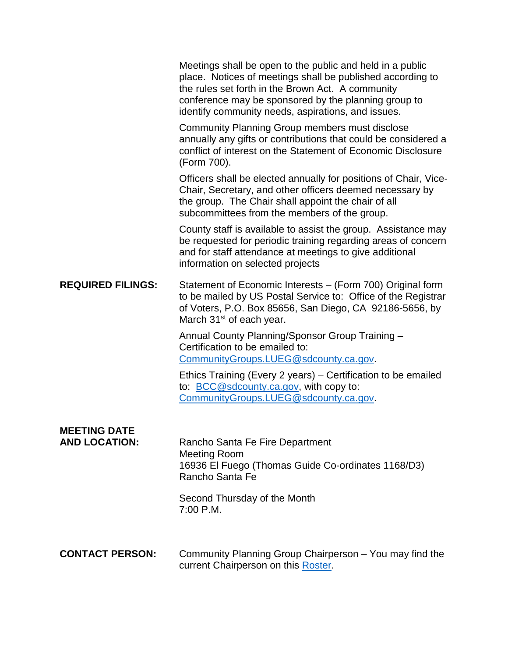|                                             | Meetings shall be open to the public and held in a public<br>place. Notices of meetings shall be published according to<br>the rules set forth in the Brown Act. A community<br>conference may be sponsored by the planning group to<br>identify community needs, aspirations, and issues. |
|---------------------------------------------|--------------------------------------------------------------------------------------------------------------------------------------------------------------------------------------------------------------------------------------------------------------------------------------------|
|                                             | Community Planning Group members must disclose<br>annually any gifts or contributions that could be considered a<br>conflict of interest on the Statement of Economic Disclosure<br>(Form 700).                                                                                            |
|                                             | Officers shall be elected annually for positions of Chair, Vice-<br>Chair, Secretary, and other officers deemed necessary by<br>the group. The Chair shall appoint the chair of all<br>subcommittees from the members of the group.                                                        |
|                                             | County staff is available to assist the group. Assistance may<br>be requested for periodic training regarding areas of concern<br>and for staff attendance at meetings to give additional<br>information on selected projects                                                              |
| <b>REQUIRED FILINGS:</b>                    | Statement of Economic Interests – (Form 700) Original form<br>to be mailed by US Postal Service to: Office of the Registrar<br>of Voters, P.O. Box 85656, San Diego, CA 92186-5656, by<br>March 31 <sup>st</sup> of each year.                                                             |
|                                             | Annual County Planning/Sponsor Group Training -<br>Certification to be emailed to:<br>CommunityGroups.LUEG@sdcounty.ca.gov.                                                                                                                                                                |
|                                             | Ethics Training (Every 2 years) – Certification to be emailed<br>to: BCC@sdcounty.ca.gov, with copy to:<br>CommunityGroups.LUEG@sdcounty.ca.gov.                                                                                                                                           |
| <b>MEETING DATE</b><br><b>AND LOCATION:</b> | Rancho Santa Fe Fire Department<br><b>Meeting Room</b><br>16936 El Fuego (Thomas Guide Co-ordinates 1168/D3)<br>Rancho Santa Fe                                                                                                                                                            |
|                                             | Second Thursday of the Month<br>7:00 P.M.                                                                                                                                                                                                                                                  |
| <b>CONTACT PERSON:</b>                      | Community Planning Group Chairperson - You may find the<br>current Chairperson on this Roster.                                                                                                                                                                                             |